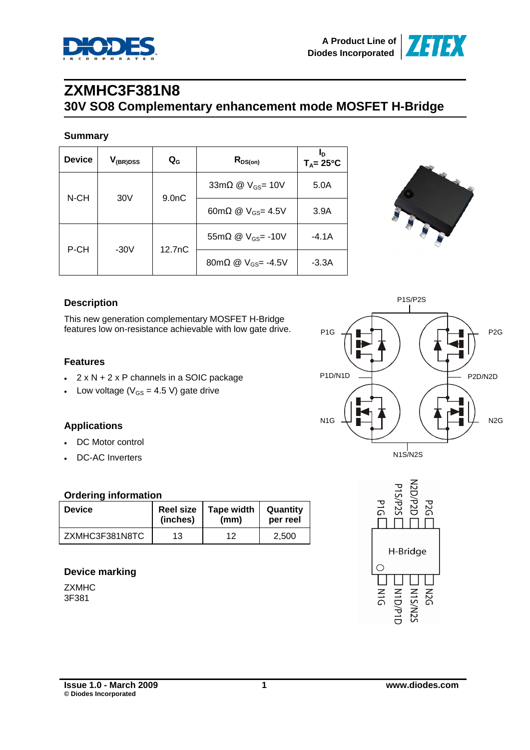

### **ZXMHC3F381N8 30V SO8 Complementary enhancement mode MOSFET H-Bridge**

#### **Summary**

| <b>Device</b> | $V_{(BR)DSS}$               | $\mathbf{Q}_{\mathbf{G}}$ | $R_{DS(on)}$                          | Ιn<br>$T_A = 25^{\circ}C$ |
|---------------|-----------------------------|---------------------------|---------------------------------------|---------------------------|
|               | $9.0n$ C<br>30 <sub>V</sub> |                           | 33m $\Omega$ @ $V_{GS}$ = 10V         | 5.0A                      |
| N-CH          |                             |                           | 60m $\Omega$ @ V <sub>GS</sub> = 4.5V | 3.9A                      |
|               |                             |                           | 55m $\Omega$ @ $V_{GS}$ = -10V        | -4.1A                     |
| P-CH          | $-30V$                      | 12.7nC                    | 80mΩ @ $V_{GS}$ = -4.5V               | $-3.3A$                   |



### **Description**

This new generation complementary MOSFET H-Bridge features low on-resistance achievable with low gate drive.

### **Features**

- $\cdot$  2 x N + 2 x P channels in a SOIC package
- Low voltage ( $V_{GS}$  = 4.5 V) gate drive

### **Applications**

- DC Motor control
- DC-AC Inverters

### **Ordering information**

| <b>Device</b>  | <b>Reel size</b> | <b>Tape width</b> | Quantity |  |
|----------------|------------------|-------------------|----------|--|
|                | (inches)         | (mm)              | per reel |  |
| ZXMHC3F381N8TC | 13               | 12                | 2.500    |  |

### **Device marking**

**ZXMHC** 3F381



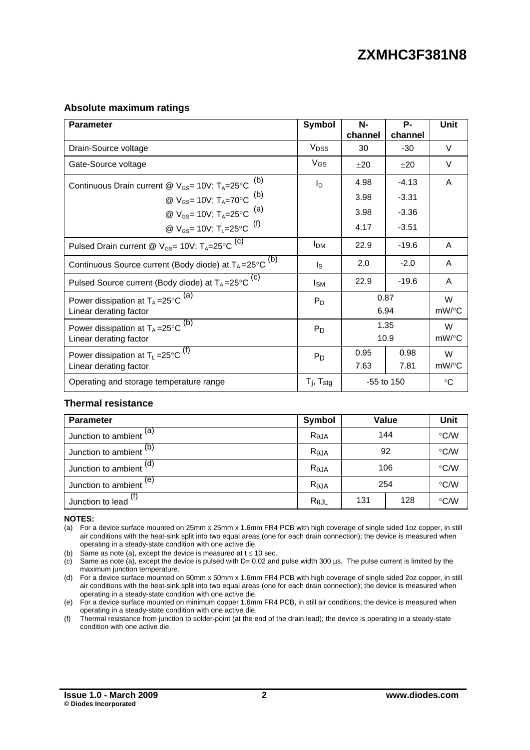#### **Absolute maximum ratings**

| <b>Parameter</b>                                                         | <b>Symbol</b>            | N-<br>channel | Р-<br>channel | <b>Unit</b> |
|--------------------------------------------------------------------------|--------------------------|---------------|---------------|-------------|
| Drain-Source voltage                                                     | <b>V</b> <sub>DSS</sub>  | 30            | $-30$         | V           |
| Gate-Source voltage                                                      | $V_{GS}$                 | $+20$         | $+20$         | $\vee$      |
| Continuous Drain current @ $V_{GS}$ = 10V; T <sub>A</sub> =25°C $^{(b)}$ | l <sub>D</sub>           | 4.98          | $-4.13$       | A           |
| @ $V_{GS}$ = 10V; T <sub>A</sub> =70°C <sup>(b)</sup>                    |                          | 3.98          | $-3.31$       |             |
| @ $V_{GS}$ = 10V; T <sub>A</sub> =25°C <sup>(a)</sup>                    |                          | 3.98          | $-3.36$       |             |
| @ $V_{GS}$ = 10V; T <sub>1</sub> =25°C <sup>(f)</sup>                    |                          | 4.17          | $-3.51$       |             |
| Pulsed Drain current @ $V_{GS}$ = 10V; $T_A$ = 25°C $^{(c)}$             | <b>I</b> <sub>DM</sub>   | 22.9          | $-19.6$       | A           |
| Continuous Source current (Body diode) at $T_A = 25^{\circ}C^{(b)}$      | Is                       | 2.0           | $-2.0$        | A           |
| Pulsed Source current (Body diode) at $T_A = 25^{\circ}C$ <sup>(C)</sup> | $I_{SM}$                 | 22.9          | $-19.6$       | A           |
| Power dissipation at $T_A = 25^{\circ}C^{(a)}$                           | $P_D$                    | 0.87          | W             |             |
| Linear derating factor                                                   |                          |               | 6.94          | $mW$ /°C    |
| Power dissipation at $T_A = 25^{\circ}C^{(b)}$                           | $P_D$                    | 1.35          | W             |             |
| Linear derating factor                                                   |                          |               | 10.9          | $mW$ /°C    |
| Power dissipation at $T_1 = 25^{\circ}C^{(f)}$                           | $P_D$                    | 0.95          | 0.98          | W           |
| Linear derating factor                                                   |                          | 7.63          | 7.81          | $mW$ /°C    |
| Operating and storage temperature range                                  | $T_i$ , $T_{\text{stg}}$ |               | $-55$ to 150  | $^{\circ}C$ |

#### **Thermal resistance**

| <b>Parameter</b>                | <b>Symbol</b>  |            | Value         | Unit          |
|---------------------------------|----------------|------------|---------------|---------------|
| Junction to ambient $(a)$       | $R_{\theta$ JA | 144        | $\degree$ C/W |               |
| Junction to ambient (b)         | $R_{\theta$ JA | 92         | $\degree$ C/W |               |
| Junction to ambient $(d)$       | $R_{\theta$ JA | 106        |               | $\degree$ C/W |
| Junction to ambient $(e)$       | $R_{\theta$ JA | 254        |               | $\degree$ C/W |
| Junction to lead <sup>(f)</sup> | $R_{\theta$ JL | 131<br>128 |               | $\degree$ C/W |

**NOTES:** 

(a) For a device surface mounted on 25mm x 25mm x 1.6mm FR4 PCB with high coverage of single sided 1oz copper, in still air conditions with the heat-sink split into two equal areas (one for each drain connection); the device is measured when operating in a steady-state condition with one active die.

(b) Same as note (a), except the device is measured at  $t \le 10$  sec.

(c) Same as note (a), except the device is pulsed with  $D = 0.02$  and pulse width 300 µs. The pulse current is limited by the maximum junction temperature.

(d) For a device surface mounted on 50mm x 50mm x 1.6mm FR4 PCB with high coverage of single sided 2oz copper, in still air conditions with the heat-sink split into two equal areas (one for each drain connection); the device is measured when operating in a steady-state condition with one active die.

(e) For a device surface mounted on minimum copper 1.6mm FR4 PCB, in still air conditions; the device is measured when operating in a steady-state condition with one active die.

(f) Thermal resistance from junction to solder-point (at the end of the drain lead); the device is operating in a steady-state condition with one active die.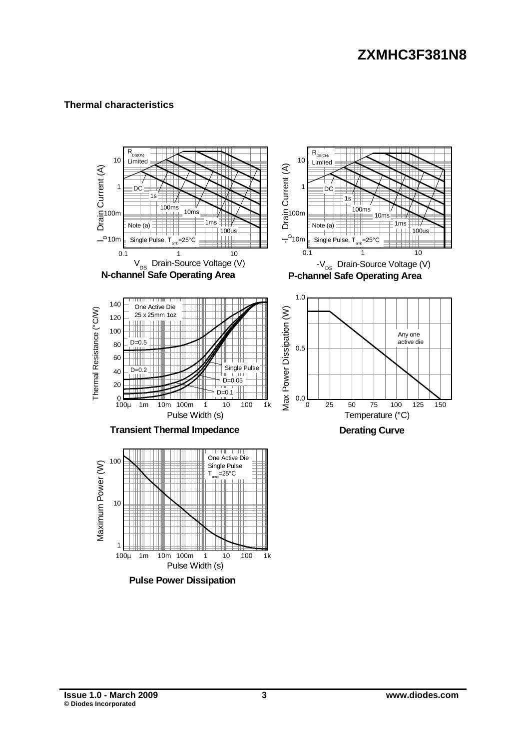### **Thermal characteristics**

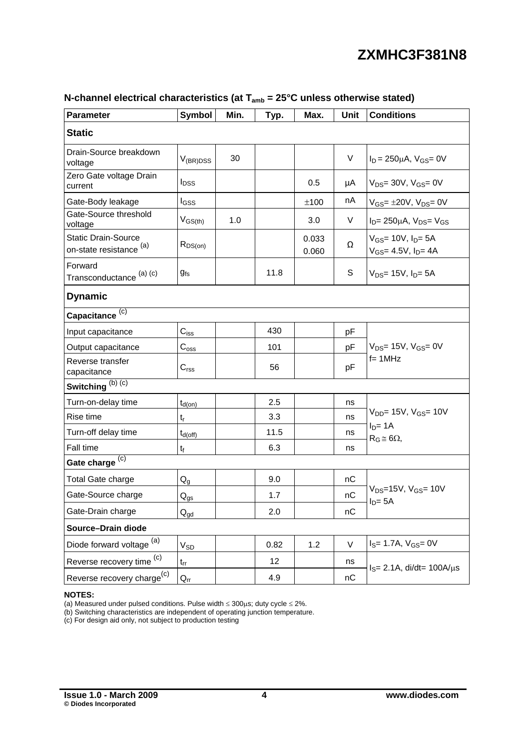| <b>Parameter</b>                                      | <b>Symbol</b>                        | Min. | Typ. | Max.           | <b>Unit</b> | <b>Conditions</b>                                              |  |
|-------------------------------------------------------|--------------------------------------|------|------|----------------|-------------|----------------------------------------------------------------|--|
| <b>Static</b>                                         |                                      |      |      |                |             |                                                                |  |
| Drain-Source breakdown<br>voltage                     | $V_{(BR)DSS}$                        | 30   |      |                | V           | $I_D = 250 \mu A$ , $V_{GS} = 0V$                              |  |
| Zero Gate voltage Drain<br>current                    | $I_{DSS}$                            |      |      | 0.5            | μA          | $V_{DS}$ = 30V, $V_{GS}$ = 0V                                  |  |
| Gate-Body leakage                                     | l <sub>GSS</sub>                     |      |      | ±100           | nA          | $V_{GS} = \pm 20V$ , $V_{DS} = 0V$                             |  |
| Gate-Source threshold<br>voltage                      | $V_{GS(th)}$                         | 1.0  |      | 3.0            | V           | $I_D$ = 250 $\mu$ A, $V_{DS}$ = $V_{GS}$                       |  |
| <b>Static Drain-Source</b><br>on-state resistance (a) | $R_{DS(on)}$                         |      |      | 0.033<br>0.060 | Ω           | $V_{GS}$ = 10V, $I_{D}$ = 5A<br>$V_{GS} = 4.5V$ , $I_{D} = 4A$ |  |
| Forward<br>Transconductance (a) (c)                   | <b>g</b> fs                          |      | 11.8 |                | S           | $V_{DS}$ = 15V, $I_{D}$ = 5A                                   |  |
| <b>Dynamic</b>                                        |                                      |      |      |                |             |                                                                |  |
| Capacitance <sup>(c)</sup>                            |                                      |      |      |                |             |                                                                |  |
| Input capacitance                                     | $C_{\hbox{\scriptsize{ISS}}}$        |      | 430  |                | pF          |                                                                |  |
| Output capacitance                                    | $C_{\rm oss}$                        |      | 101  |                | pF          | $V_{DS}$ = 15V, $V_{GS}$ = 0V                                  |  |
| Reverse transfer<br>capacitance                       | $C_{\text{rss}}$                     |      | 56   |                | pF          | $f = 1$ MHz                                                    |  |
| Switching $(b)$ $\overline{(c)}$                      |                                      |      |      |                |             |                                                                |  |
| Turn-on-delay time                                    | $t_{d(on)}$                          |      | 2.5  |                | ns          |                                                                |  |
| Rise time                                             | $t_{\rm r}$                          |      | 3.3  |                | ns          | $V_{DD}$ = 15V, $V_{GS}$ = 10V                                 |  |
| Turn-off delay time                                   | $t_{d(\text{off})}$                  |      | 11.5 |                | ns          | $I_D = 1A$<br>$R_G \cong 6\Omega$ ,                            |  |
| Fall time                                             | $t_f$                                |      | 6.3  |                | ns          |                                                                |  |
| Gate charge (c)                                       |                                      |      |      |                |             |                                                                |  |
| Total Gate charge                                     | $Q_{q}$                              |      | 9.0  |                | nC          |                                                                |  |
| Gate-Source charge                                    | $\mathsf{Q}_{\underline{\text{gs}}}$ |      | 1.7  |                | nC          | $V_{DS} = 15V$ , $V_{GS} = 10V$<br>$I_D = 5A$                  |  |
| Gate-Drain charge                                     | $Q_{gd}$                             |      | 2.0  |                | nC          |                                                                |  |
| Source-Drain diode                                    |                                      |      |      |                |             |                                                                |  |
| Diode forward voltage (a)                             | $V_{SD}$                             |      | 0.82 | 1.2            | $\vee$      | $I_S = 1.7A, V_{GS} = 0V$                                      |  |
| Reverse recovery time <sup>(c)</sup>                  | $t_{\rm rr}$                         |      | 12   |                | ns          |                                                                |  |
| Reverse recovery charge <sup>(c)</sup>                | $Q_{rr}$                             |      | 4.9  |                | nC          | $IS= 2.1A$ , di/dt= 100A/ $\mu$ s                              |  |

### **N-channel electrical characteristics (at Tamb = 25°C unless otherwise stated)**

#### **NOTES:**

(a) Measured under pulsed conditions. Pulse width  $\leq 300\mu s$ ; duty cycle  $\leq 2\%$ .

(b) Switching characteristics are independent of operating junction temperature.

(c) For design aid only, not subject to production testing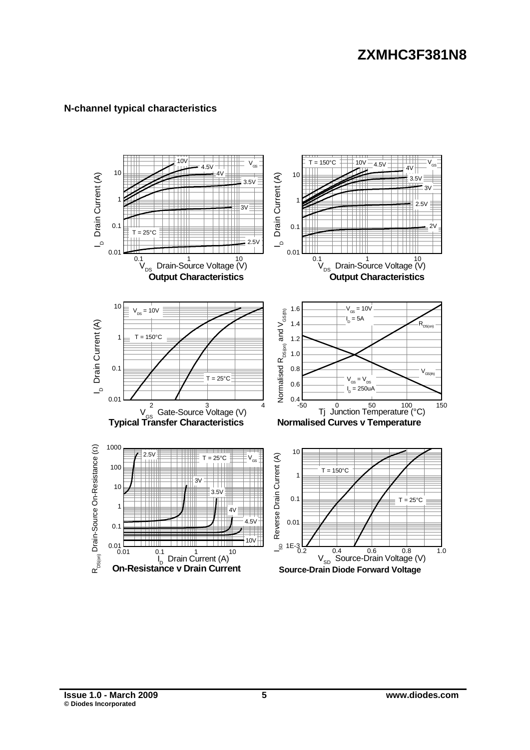### **N-channel typical characteristics**

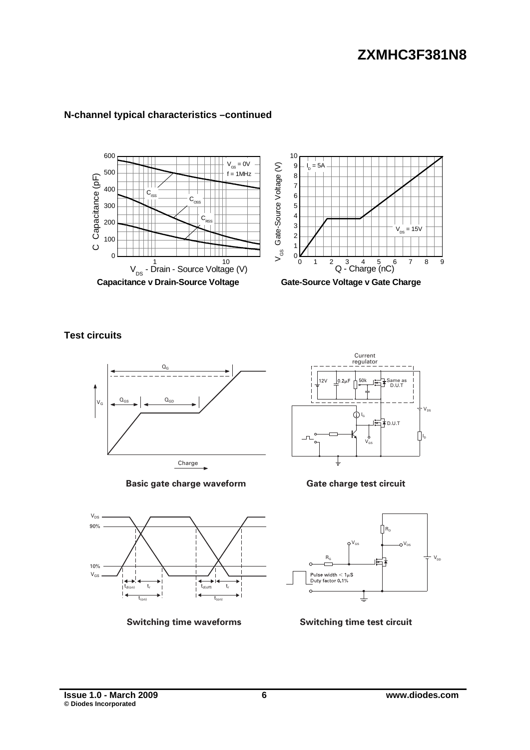

### **N-channel typical characteristics –continued**

**Test circuits** 



**Basic gate charge waveform**



**Switching time waveforms**



**Gate charge test circuit**



**Switching time test circuit**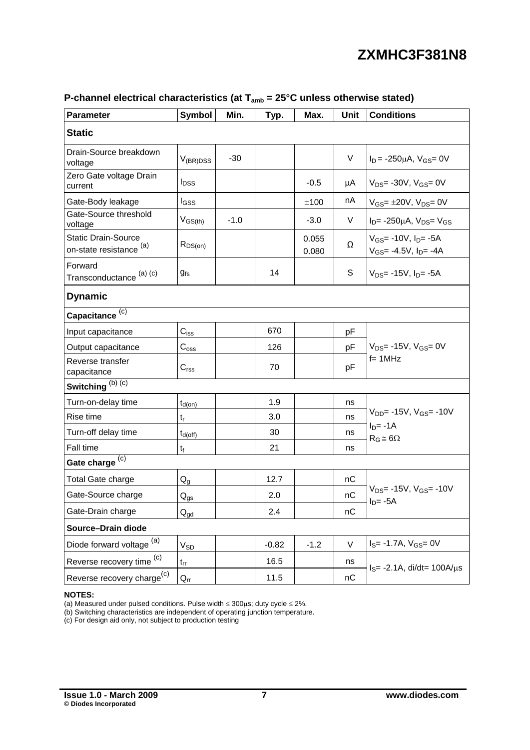| <b>Parameter</b>                                      | Symbol                               | Min.   | Typ.    | Max.           | <b>Unit</b> | <b>Conditions</b>                                                 |  |
|-------------------------------------------------------|--------------------------------------|--------|---------|----------------|-------------|-------------------------------------------------------------------|--|
| <b>Static</b>                                         |                                      |        |         |                |             |                                                                   |  |
| Drain-Source breakdown<br>voltage                     | $V_{(BR)DSS}$                        | $-30$  |         |                | $\vee$      | $I_D$ = -250 $\mu$ A, V <sub>GS</sub> = 0V                        |  |
| Zero Gate voltage Drain<br>current                    | $I_{DSS}$                            |        |         | $-0.5$         | μA          | $V_{DS}$ - 30V, $V_{GS}$ = 0V                                     |  |
| Gate-Body leakage                                     | I <sub>GSS</sub>                     |        |         | ±100           | nA          | $V_{GS} = \pm 20V$ , $V_{DS} = 0V$                                |  |
| Gate-Source threshold<br>voltage                      | $V_{GS(th)}$                         | $-1.0$ |         | $-3.0$         | $\vee$      | $I_D$ = -250 $\mu$ A, $V_{DS}$ = $V_{GS}$                         |  |
| <b>Static Drain-Source</b><br>on-state resistance (a) | $R_{DS(on)}$                         |        |         | 0.055<br>0.080 | Ω           | $V_{GS}$ = -10V, $I_{D}$ = -5A<br>$V_{GS}$ = -4.5V, $I_{D}$ = -4A |  |
| Forward<br>Transconductance (a) (c)                   | $g_{fs}$                             |        | 14      |                | S           | $V_{DS}$ = -15V, $I_{D}$ = -5A                                    |  |
| <b>Dynamic</b>                                        |                                      |        |         |                |             |                                                                   |  |
| Capacitance <sup>(c)</sup>                            |                                      |        |         |                |             |                                                                   |  |
| Input capacitance                                     | $C_{\hbox{\scriptsize{ISS}}}$        |        | 670     |                | pF          |                                                                   |  |
| Output capacitance                                    | $C_{\rm oss}$                        |        | 126     |                | pF          | $V_{DS}$ = -15V, $V_{GS}$ = 0V                                    |  |
| Reverse transfer<br>capacitance                       | $C_{\text{rss}}$                     |        | 70      |                | pF          | $f = 1$ MHz                                                       |  |
| Switching $(b)$ $\overline{(c)}$                      |                                      |        |         |                |             |                                                                   |  |
| Turn-on-delay time                                    | $t_{d(on)}$                          |        | 1.9     |                | ns          |                                                                   |  |
| Rise time                                             | $t_{r}$                              |        | 3.0     |                | ns          | $V_{DD}$ = -15V, $V_{GS}$ = -10V                                  |  |
| Turn-off delay time                                   | $t_{d(off)}$                         |        | 30      |                | ns          | $I_D = -1A$<br>$R_G \cong 6\Omega$                                |  |
| Fall time                                             | $\mathfrak{t}_{\mathfrak{f}}$        |        | 21      |                | ns          |                                                                   |  |
| Gate charge (c)                                       |                                      |        |         |                |             |                                                                   |  |
| Total Gate charge                                     | $\mathsf{Q}_{\mathsf{g}}$            |        | 12.7    |                | пC          |                                                                   |  |
| Gate-Source charge                                    | $\mathsf{Q}_{\underline{\text{gs}}}$ |        | 2.0     |                | nC          | $V_{DS}$ = -15V, $V_{GS}$ = -10V<br>$I_D = -5A$                   |  |
| Gate-Drain charge                                     | $Q_{gd}$                             |        | 2.4     |                | nC          |                                                                   |  |
| Source-Drain diode                                    |                                      |        |         |                |             |                                                                   |  |
| Diode forward voltage <sup>(a)</sup>                  | $\mathsf{V}_{\mathsf{SD}}$           |        | $-0.82$ | $-1.2$         | $\vee$      | $I_S = -1.7A$ , $V_{GS} = 0V$                                     |  |
| Reverse recovery time <sup>(c)</sup>                  | $t_{rr}$                             |        | 16.5    |                | ns          | $I_S = -2.1A$ , di/dt= 100A/ $\mu$ s                              |  |
| Reverse recovery charge <sup>(c)</sup>                | $Q_{rr}$                             |        | 11.5    |                | nC          |                                                                   |  |

### P-channel electrical characteristics (at T<sub>amb</sub> = 25°C unless otherwise stated)

#### **NOTES:**

(a) Measured under pulsed conditions. Pulse width  $\leq 300\mu s$ ; duty cycle  $\leq 2\%$ .

(b) Switching characteristics are independent of operating junction temperature.

(c) For design aid only, not subject to production testing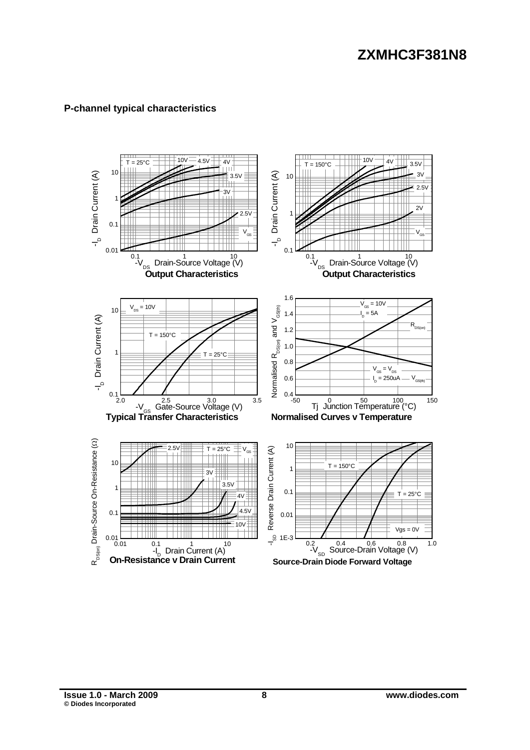### **P-channel typical characteristics**

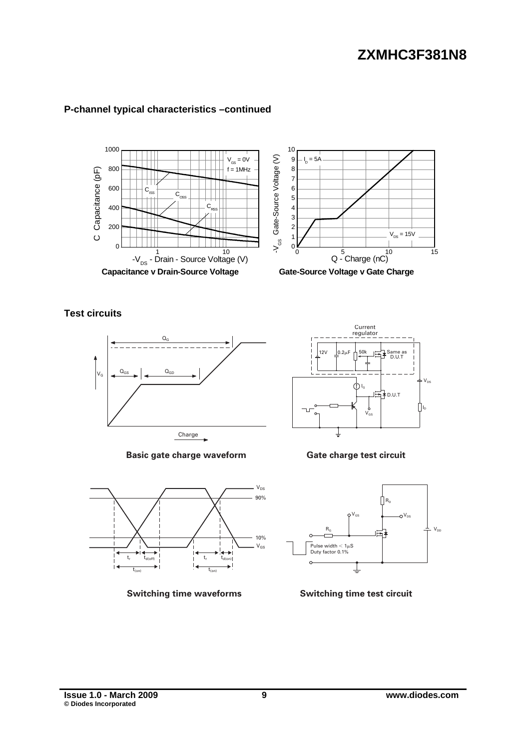

### **P-channel typical characteristics –continued**

**Test circuits** 



**Basic gate charge waveform** 



**Switching time waveforms** 



**Gate charge test circuit** 



**Switching time test circuit**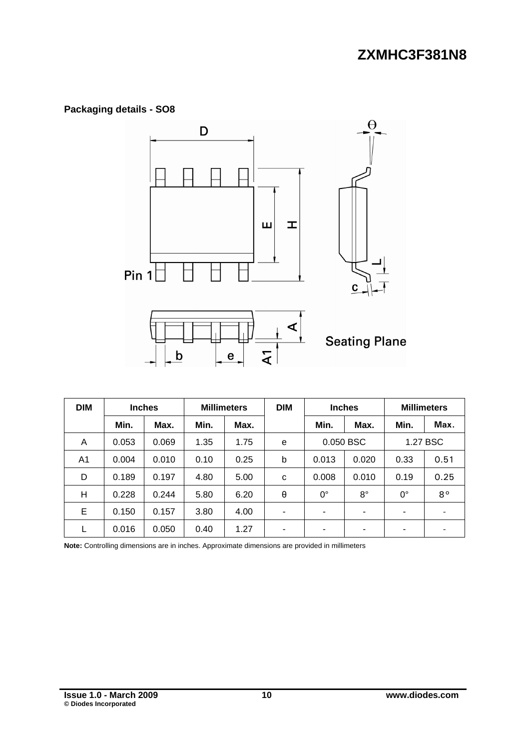### **Packaging details - SO8**



| <b>DIM</b> | <b>Inches</b> |       | <b>Millimeters</b> |      | <b>DIM</b>               | <b>Inches</b>  |             | <b>Millimeters</b>       |             |
|------------|---------------|-------|--------------------|------|--------------------------|----------------|-------------|--------------------------|-------------|
|            | Min.          | Max.  | Min.               | Max. |                          | Min.           | Max.        | Min.                     | Max.        |
| A          | 0.053         | 0.069 | 1.35               | 1.75 | e                        | 0.050 BSC      |             | 1.27 BSC                 |             |
| A1         | 0.004         | 0.010 | 0.10               | 0.25 | b                        | 0.013<br>0.020 |             | 0.33                     | 0.51        |
| D          | 0.189         | 0.197 | 4.80               | 5.00 | C                        | 0.008          | 0.010       | 0.19                     | 0.25        |
| н          | 0.228         | 0.244 | 5.80               | 6.20 | θ                        | $0^{\circ}$    | $8^{\circ}$ | $0^{\circ}$              | $8^{\circ}$ |
| E          | 0.150         | 0.157 | 3.80               | 4.00 | ٠                        | ٠              | ۰           | -                        |             |
|            | 0.016         | 0.050 | 0.40               | 1.27 | $\overline{\phantom{0}}$ | ٠              | ۰           | $\overline{\phantom{0}}$ |             |

**Note:** Controlling dimensions are in inches. Approximate dimensions are provided in millimeters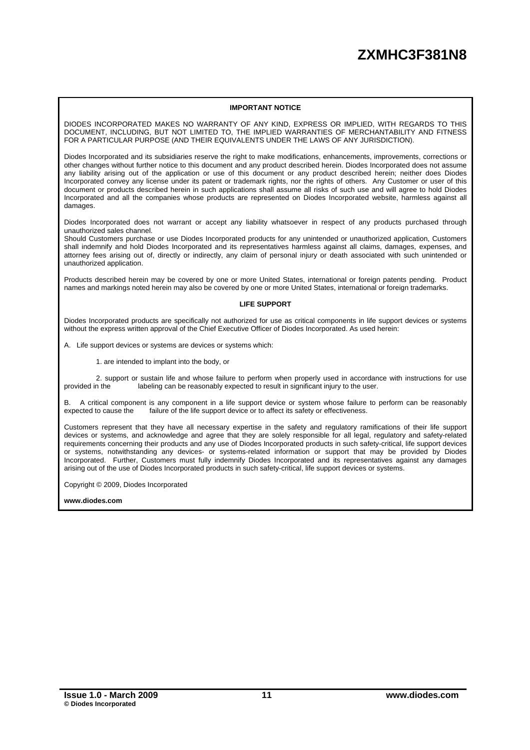#### **IMPORTANT NOTICE**

DIODES INCORPORATED MAKES NO WARRANTY OF ANY KIND, EXPRESS OR IMPLIED, WITH REGARDS TO THIS DOCUMENT, INCLUDING, BUT NOT LIMITED TO, THE IMPLIED WARRANTIES OF MERCHANTABILITY AND FITNESS FOR A PARTICULAR PURPOSE (AND THEIR EQUIVALENTS UNDER THE LAWS OF ANY JURISDICTION).

Diodes Incorporated and its subsidiaries reserve the right to make modifications, enhancements, improvements, corrections or other changes without further notice to this document and any product described herein. Diodes Incorporated does not assume any liability arising out of the application or use of this document or any product described herein; neither does Diodes Incorporated convey any license under its patent or trademark rights, nor the rights of others. Any Customer or user of this document or products described herein in such applications shall assume all risks of such use and will agree to hold Diodes Incorporated and all the companies whose products are represented on Diodes Incorporated website, harmless against all damages.

Diodes Incorporated does not warrant or accept any liability whatsoever in respect of any products purchased through unauthorized sales channel.

Should Customers purchase or use Diodes Incorporated products for any unintended or unauthorized application, Customers shall indemnify and hold Diodes Incorporated and its representatives harmless against all claims, damages, expenses, and attorney fees arising out of, directly or indirectly, any claim of personal injury or death associated with such unintended or unauthorized application.

Products described herein may be covered by one or more United States, international or foreign patents pending. Product names and markings noted herein may also be covered by one or more United States, international or foreign trademarks.

#### **LIFE SUPPORT**

Diodes Incorporated products are specifically not authorized for use as critical components in life support devices or systems without the express written approval of the Chief Executive Officer of Diodes Incorporated. As used herein:

A. Life support devices or systems are devices or systems which:

1. are intended to implant into the body, or

2. support or sustain life and whose failure to perform when properly used in accordance with instructions for use provided in the labeling can be reasonably expected to result in significant injury to the user. labeling can be reasonably expected to result in significant injury to the user.

B. A critical component is any component in a life support device or system whose failure to perform can be reasonably expected to cause the failure of the life support device or to affect its safety or effectiveness.

Customers represent that they have all necessary expertise in the safety and regulatory ramifications of their life support devices or systems, and acknowledge and agree that they are solely responsible for all legal, regulatory and safety-related requirements concerning their products and any use of Diodes Incorporated products in such safety-critical, life support devices or systems, notwithstanding any devices- or systems-related information or support that may be provided by Diodes Incorporated. Further, Customers must fully indemnify Diodes Incorporated and its representatives against any damages arising out of the use of Diodes Incorporated products in such safety-critical, life support devices or systems.

Copyright © 2009, Diodes Incorporated

**[www.diodes.com](http://www.diodes.com)**